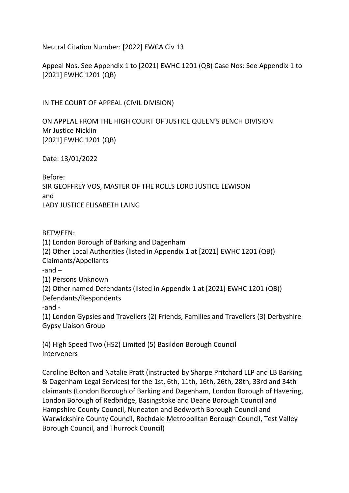Neutral Citation Number: [2022] EWCA Civ 13

Appeal Nos. See Appendix 1 to [2021] EWHC 1201 (QB) Case Nos: See Appendix 1 to [2021] EWHC 1201 (QB)

IN THE COURT OF APPEAL (CIVIL DIVISION)

ON APPEAL FROM THE HIGH COURT OF JUSTICE QUEEN'S BENCH DIVISION Mr Justice Nicklin [2021] EWHC 1201 (QB)

Date: 13/01/2022

Before: SIR GEOFFREY VOS, MASTER OF THE ROLLS LORD JUSTICE LEWISON and LADY JUSTICE ELISABETH LAING

### BETWEEN:

(1) London Borough of Barking and Dagenham (2) Other Local Authorities (listed in Appendix 1 at [2021] EWHC 1201 (QB)) Claimants/Appellants -and – (1) Persons Unknown (2) Other named Defendants (listed in Appendix 1 at [2021] EWHC 1201 (QB)) Defendants/Respondents -and - (1) London Gypsies and Travellers (2) Friends, Families and Travellers (3) Derbyshire Gypsy Liaison Group

(4) High Speed Two (HS2) Limited (5) Basildon Borough Council Interveners

Caroline Bolton and Natalie Pratt (instructed by Sharpe Pritchard LLP and LB Barking & Dagenham Legal Services) for the 1st, 6th, 11th, 16th, 26th, 28th, 33rd and 34th claimants (London Borough of Barking and Dagenham, London Borough of Havering, London Borough of Redbridge, Basingstoke and Deane Borough Council and Hampshire County Council, Nuneaton and Bedworth Borough Council and Warwickshire County Council, Rochdale Metropolitan Borough Council, Test Valley Borough Council, and Thurrock Council)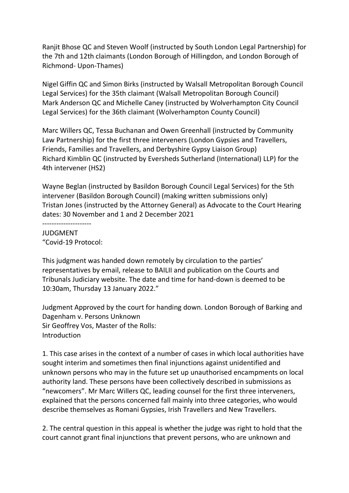Ranjit Bhose QC and Steven Woolf (instructed by South London Legal Partnership) for the 7th and 12th claimants (London Borough of Hillingdon, and London Borough of Richmond- Upon-Thames)

Nigel Giffin QC and Simon Birks (instructed by Walsall Metropolitan Borough Council Legal Services) for the 35th claimant (Walsall Metropolitan Borough Council) Mark Anderson QC and Michelle Caney (instructed by Wolverhampton City Council Legal Services) for the 36th claimant (Wolverhampton County Council)

Marc Willers QC, Tessa Buchanan and Owen Greenhall (instructed by Community Law Partnership) for the first three interveners (London Gypsies and Travellers, Friends, Families and Travellers, and Derbyshire Gypsy Liaison Group) Richard Kimblin QC (instructed by Eversheds Sutherland (International) LLP) for the 4th intervener (HS2)

Wayne Beglan (instructed by Basildon Borough Council Legal Services) for the 5th intervener (Basildon Borough Council) (making written submissions only) Tristan Jones (instructed by the Attorney General) as Advocate to the Court Hearing dates: 30 November and 1 and 2 December 2021

--------------------- JUDGMENT "Covid-19 Protocol:

This judgment was handed down remotely by circulation to the parties' representatives by email, release to BAILII and publication on the Courts and Tribunals Judiciary website. The date and time for hand-down is deemed to be 10:30am, Thursday 13 January 2022."

Judgment Approved by the court for handing down. London Borough of Barking and Dagenham v. Persons Unknown Sir Geoffrey Vos, Master of the Rolls: Introduction

1. This case arises in the context of a number of cases in which local authorities have sought interim and sometimes then final injunctions against unidentified and unknown persons who may in the future set up unauthorised encampments on local authority land. These persons have been collectively described in submissions as "newcomers". Mr Marc Willers QC, leading counsel for the first three interveners, explained that the persons concerned fall mainly into three categories, who would describe themselves as Romani Gypsies, Irish Travellers and New Travellers.

2. The central question in this appeal is whether the judge was right to hold that the court cannot grant final injunctions that prevent persons, who are unknown and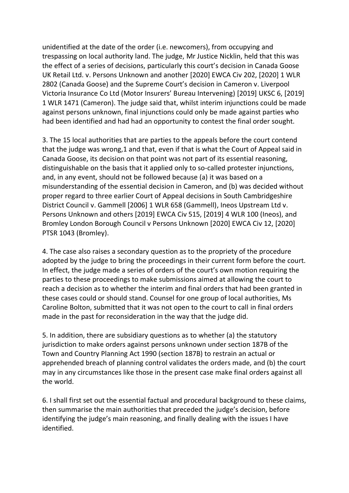unidentified at the date of the order (i.e. newcomers), from occupying and trespassing on local authority land. The judge, Mr Justice Nicklin, held that this was the effect of a series of decisions, particularly this court's decision in Canada Goose UK Retail Ltd. v. Persons Unknown and another [2020] EWCA Civ 202, [2020] 1 WLR 2802 (Canada Goose) and the Supreme Court's decision in Cameron v. Liverpool Victoria Insurance Co Ltd (Motor Insurers' Bureau Intervening) [2019] UKSC 6, [2019] 1 WLR 1471 (Cameron). The judge said that, whilst interim injunctions could be made against persons unknown, final injunctions could only be made against parties who had been identified and had had an opportunity to contest the final order sought.

3. The 15 local authorities that are parties to the appeals before the court contend that the judge was wrong,1 and that, even if that is what the Court of Appeal said in Canada Goose, its decision on that point was not part of its essential reasoning, distinguishable on the basis that it applied only to so-called protester injunctions, and, in any event, should not be followed because (a) it was based on a misunderstanding of the essential decision in Cameron, and (b) was decided without proper regard to three earlier Court of Appeal decisions in South Cambridgeshire District Council v. Gammell [2006] 1 WLR 658 (Gammell), Ineos Upstream Ltd v. Persons Unknown and others [2019] EWCA Civ 515, [2019] 4 WLR 100 (Ineos), and Bromley London Borough Council v Persons Unknown [2020] EWCA Civ 12, [2020] PTSR 1043 (Bromley).

4. The case also raises a secondary question as to the propriety of the procedure adopted by the judge to bring the proceedings in their current form before the court. In effect, the judge made a series of orders of the court's own motion requiring the parties to these proceedings to make submissions aimed at allowing the court to reach a decision as to whether the interim and final orders that had been granted in these cases could or should stand. Counsel for one group of local authorities, Ms Caroline Bolton, submitted that it was not open to the court to call in final orders made in the past for reconsideration in the way that the judge did.

5. In addition, there are subsidiary questions as to whether (a) the statutory jurisdiction to make orders against persons unknown under section 187B of the Town and Country Planning Act 1990 (section 187B) to restrain an actual or apprehended breach of planning control validates the orders made, and (b) the court may in any circumstances like those in the present case make final orders against all the world.

6. I shall first set out the essential factual and procedural background to these claims, then summarise the main authorities that preceded the judge's decision, before identifying the judge's main reasoning, and finally dealing with the issues I have identified.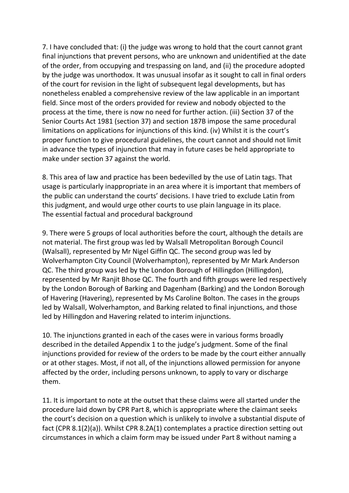7. I have concluded that: (i) the judge was wrong to hold that the court cannot grant final injunctions that prevent persons, who are unknown and unidentified at the date of the order, from occupying and trespassing on land, and (ii) the procedure adopted by the judge was unorthodox. It was unusual insofar as it sought to call in final orders of the court for revision in the light of subsequent legal developments, but has nonetheless enabled a comprehensive review of the law applicable in an important field. Since most of the orders provided for review and nobody objected to the process at the time, there is now no need for further action. (iii) Section 37 of the Senior Courts Act 1981 (section 37) and section 187B impose the same procedural limitations on applications for injunctions of this kind. (iv) Whilst it is the court's proper function to give procedural guidelines, the court cannot and should not limit in advance the types of injunction that may in future cases be held appropriate to make under section 37 against the world.

8. This area of law and practice has been bedevilled by the use of Latin tags. That usage is particularly inappropriate in an area where it is important that members of the public can understand the courts' decisions. I have tried to exclude Latin from this judgment, and would urge other courts to use plain language in its place. The essential factual and procedural background

9. There were 5 groups of local authorities before the court, although the details are not material. The first group was led by Walsall Metropolitan Borough Council (Walsall), represented by Mr Nigel Giffin QC. The second group was led by Wolverhampton City Council (Wolverhampton), represented by Mr Mark Anderson QC. The third group was led by the London Borough of Hillingdon (Hillingdon), represented by Mr Ranjit Bhose QC. The fourth and fifth groups were led respectively by the London Borough of Barking and Dagenham (Barking) and the London Borough of Havering (Havering), represented by Ms Caroline Bolton. The cases in the groups led by Walsall, Wolverhampton, and Barking related to final injunctions, and those led by Hillingdon and Havering related to interim injunctions.

10. The injunctions granted in each of the cases were in various forms broadly described in the detailed Appendix 1 to the judge's judgment. Some of the final injunctions provided for review of the orders to be made by the court either annually or at other stages. Most, if not all, of the injunctions allowed permission for anyone affected by the order, including persons unknown, to apply to vary or discharge them.

11. It is important to note at the outset that these claims were all started under the procedure laid down by CPR Part 8, which is appropriate where the claimant seeks the court's decision on a question which is unlikely to involve a substantial dispute of fact (CPR 8.1(2)(a)). Whilst CPR 8.2A(1) contemplates a practice direction setting out circumstances in which a claim form may be issued under Part 8 without naming a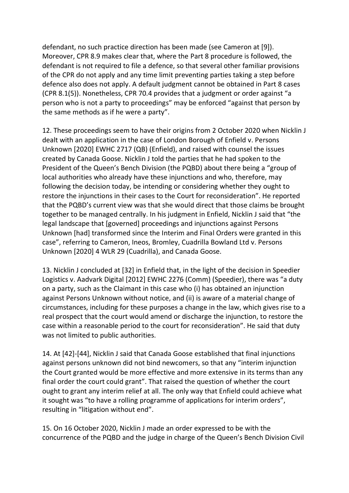defendant, no such practice direction has been made (see Cameron at [9]). Moreover, CPR 8.9 makes clear that, where the Part 8 procedure is followed, the defendant is not required to file a defence, so that several other familiar provisions of the CPR do not apply and any time limit preventing parties taking a step before defence also does not apply. A default judgment cannot be obtained in Part 8 cases (CPR 8.1(5)). Nonetheless, CPR 70.4 provides that a judgment or order against "a person who is not a party to proceedings" may be enforced "against that person by the same methods as if he were a party".

12. These proceedings seem to have their origins from 2 October 2020 when Nicklin J dealt with an application in the case of London Borough of Enfield v. Persons Unknown [2020] EWHC 2717 (QB) (Enfield), and raised with counsel the issues created by Canada Goose. Nicklin J told the parties that he had spoken to the President of the Queen's Bench Division (the PQBD) about there being a "group of local authorities who already have these injunctions and who, therefore, may following the decision today, be intending or considering whether they ought to restore the injunctions in their cases to the Court for reconsideration". He reported that the PQBD's current view was that she would direct that those claims be brought together to be managed centrally. In his judgment in Enfield, Nicklin J said that "the legal landscape that [governed] proceedings and injunctions against Persons Unknown [had] transformed since the Interim and Final Orders were granted in this case", referring to Cameron, Ineos, Bromley, Cuadrilla Bowland Ltd v. Persons Unknown [2020] 4 WLR 29 (Cuadrilla), and Canada Goose.

13. Nicklin J concluded at [32] in Enfield that, in the light of the decision in Speedier Logistics v. Aadvark Digital [2012] EWHC 2276 (Comm) (Speedier), there was "a duty on a party, such as the Claimant in this case who (i) has obtained an injunction against Persons Unknown without notice, and (ii) is aware of a material change of circumstances, including for these purposes a change in the law, which gives rise to a real prospect that the court would amend or discharge the injunction, to restore the case within a reasonable period to the court for reconsideration". He said that duty was not limited to public authorities.

14. At [42]-[44], Nicklin J said that Canada Goose established that final injunctions against persons unknown did not bind newcomers, so that any "interim injunction the Court granted would be more effective and more extensive in its terms than any final order the court could grant". That raised the question of whether the court ought to grant any interim relief at all. The only way that Enfield could achieve what it sought was "to have a rolling programme of applications for interim orders", resulting in "litigation without end".

15. On 16 October 2020, Nicklin J made an order expressed to be with the concurrence of the PQBD and the judge in charge of the Queen's Bench Division Civil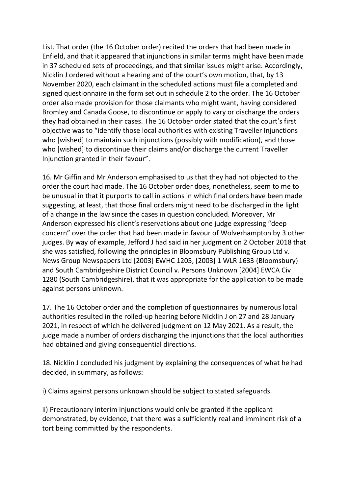List. That order (the 16 October order) recited the orders that had been made in Enfield, and that it appeared that injunctions in similar terms might have been made in 37 scheduled sets of proceedings, and that similar issues might arise. Accordingly, Nicklin J ordered without a hearing and of the court's own motion, that, by 13 November 2020, each claimant in the scheduled actions must file a completed and signed questionnaire in the form set out in schedule 2 to the order. The 16 October order also made provision for those claimants who might want, having considered Bromley and Canada Goose, to discontinue or apply to vary or discharge the orders they had obtained in their cases. The 16 October order stated that the court's first objective was to "identify those local authorities with existing Traveller Injunctions who [wished] to maintain such injunctions (possibly with modification), and those who [wished] to discontinue their claims and/or discharge the current Traveller Injunction granted in their favour".

16. Mr Giffin and Mr Anderson emphasised to us that they had not objected to the order the court had made. The 16 October order does, nonetheless, seem to me to be unusual in that it purports to call in actions in which final orders have been made suggesting, at least, that those final orders might need to be discharged in the light of a change in the law since the cases in question concluded. Moreover, Mr Anderson expressed his client's reservations about one judge expressing "deep concern" over the order that had been made in favour of Wolverhampton by 3 other judges. By way of example, Jefford J had said in her judgment on 2 October 2018 that she was satisfied, following the principles in Bloomsbury Publishing Group Ltd v. News Group Newspapers Ltd [2003] EWHC 1205, [2003] 1 WLR 1633 (Bloomsbury) and South Cambridgeshire District Council v. Persons Unknown [2004] EWCA Civ 1280 (South Cambridgeshire), that it was appropriate for the application to be made against persons unknown.

17. The 16 October order and the completion of questionnaires by numerous local authorities resulted in the rolled-up hearing before Nicklin J on 27 and 28 January 2021, in respect of which he delivered judgment on 12 May 2021. As a result, the judge made a number of orders discharging the injunctions that the local authorities had obtained and giving consequential directions.

18. Nicklin J concluded his judgment by explaining the consequences of what he had decided, in summary, as follows:

i) Claims against persons unknown should be subject to stated safeguards.

ii) Precautionary interim injunctions would only be granted if the applicant demonstrated, by evidence, that there was a sufficiently real and imminent risk of a tort being committed by the respondents.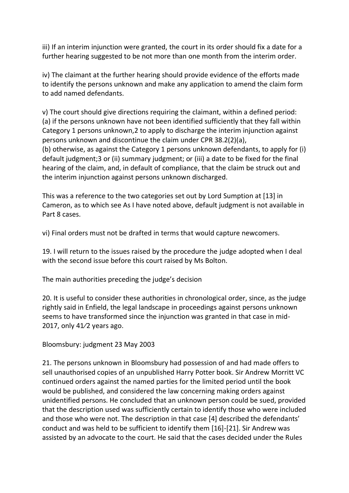iii) If an interim injunction were granted, the court in its order should fix a date for a further hearing suggested to be not more than one month from the interim order.

iv) The claimant at the further hearing should provide evidence of the efforts made to identify the persons unknown and make any application to amend the claim form to add named defendants.

v) The court should give directions requiring the claimant, within a defined period: (a) if the persons unknown have not been identified sufficiently that they fall within Category 1 persons unknown,2 to apply to discharge the interim injunction against persons unknown and discontinue the claim under CPR 38.2(2)(a), (b) otherwise, as against the Category 1 persons unknown defendants, to apply for (i) default judgment;3 or (ii) summary judgment; or (iii) a date to be fixed for the final hearing of the claim, and, in default of compliance, that the claim be struck out and the interim injunction against persons unknown discharged.

This was a reference to the two categories set out by Lord Sumption at [13] in Cameron, as to which see As I have noted above, default judgment is not available in Part 8 cases.

vi) Final orders must not be drafted in terms that would capture newcomers.

19. I will return to the issues raised by the procedure the judge adopted when I deal with the second issue before this court raised by Ms Bolton.

The main authorities preceding the judge's decision

20. It is useful to consider these authorities in chronological order, since, as the judge rightly said in Enfield, the legal landscape in proceedings against persons unknown seems to have transformed since the injunction was granted in that case in mid-2017, only 41⁄2 years ago.

Bloomsbury: judgment 23 May 2003

21. The persons unknown in Bloomsbury had possession of and had made offers to sell unauthorised copies of an unpublished Harry Potter book. Sir Andrew Morritt VC continued orders against the named parties for the limited period until the book would be published, and considered the law concerning making orders against unidentified persons. He concluded that an unknown person could be sued, provided that the description used was sufficiently certain to identify those who were included and those who were not. The description in that case [4] described the defendants' conduct and was held to be sufficient to identify them [16]-[21]. Sir Andrew was assisted by an advocate to the court. He said that the cases decided under the Rules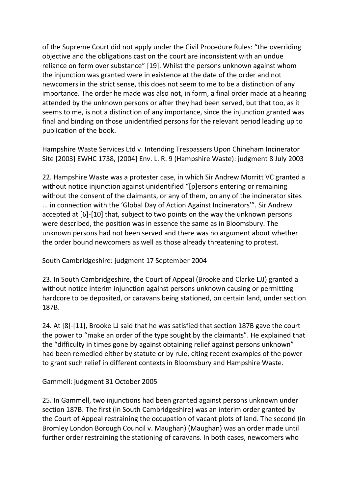of the Supreme Court did not apply under the Civil Procedure Rules: "the overriding objective and the obligations cast on the court are inconsistent with an undue reliance on form over substance" [19]. Whilst the persons unknown against whom the injunction was granted were in existence at the date of the order and not newcomers in the strict sense, this does not seem to me to be a distinction of any importance. The order he made was also not, in form, a final order made at a hearing attended by the unknown persons or after they had been served, but that too, as it seems to me, is not a distinction of any importance, since the injunction granted was final and binding on those unidentified persons for the relevant period leading up to publication of the book.

Hampshire Waste Services Ltd v. Intending Trespassers Upon Chineham Incinerator Site [2003] EWHC 1738, [2004] Env. L. R. 9 (Hampshire Waste): judgment 8 July 2003

22. Hampshire Waste was a protester case, in which Sir Andrew Morritt VC granted a without notice injunction against unidentified "[p]ersons entering or remaining without the consent of the claimants, or any of them, on any of the incinerator sites ... in connection with the 'Global Day of Action Against Incinerators'". Sir Andrew accepted at [6]-[10] that, subject to two points on the way the unknown persons were described, the position was in essence the same as in Bloomsbury. The unknown persons had not been served and there was no argument about whether the order bound newcomers as well as those already threatening to protest.

South Cambridgeshire: judgment 17 September 2004

23. In South Cambridgeshire, the Court of Appeal (Brooke and Clarke LJJ) granted a without notice interim injunction against persons unknown causing or permitting hardcore to be deposited, or caravans being stationed, on certain land, under section 187B.

24. At [8]-[11], Brooke LJ said that he was satisfied that section 187B gave the court the power to "make an order of the type sought by the claimants". He explained that the "difficulty in times gone by against obtaining relief against persons unknown" had been remedied either by statute or by rule, citing recent examples of the power to grant such relief in different contexts in Bloomsbury and Hampshire Waste.

Gammell: judgment 31 October 2005

25. In Gammell, two injunctions had been granted against persons unknown under section 187B. The first (in South Cambridgeshire) was an interim order granted by the Court of Appeal restraining the occupation of vacant plots of land. The second (in Bromley London Borough Council v. Maughan) (Maughan) was an order made until further order restraining the stationing of caravans. In both cases, newcomers who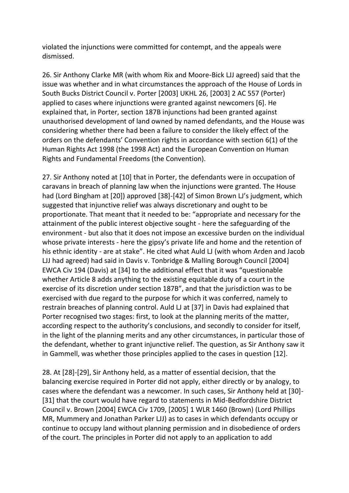violated the injunctions were committed for contempt, and the appeals were dismissed.

26. Sir Anthony Clarke MR (with whom Rix and Moore-Bick LJJ agreed) said that the issue was whether and in what circumstances the approach of the House of Lords in South Bucks District Council v. Porter [2003] UKHL 26, [2003] 2 AC 557 (Porter) applied to cases where injunctions were granted against newcomers [6]. He explained that, in Porter, section 187B injunctions had been granted against unauthorised development of land owned by named defendants, and the House was considering whether there had been a failure to consider the likely effect of the orders on the defendants' Convention rights in accordance with section 6(1) of the Human Rights Act 1998 (the 1998 Act) and the European Convention on Human Rights and Fundamental Freedoms (the Convention).

27. Sir Anthony noted at [10] that in Porter, the defendants were in occupation of caravans in breach of planning law when the injunctions were granted. The House had (Lord Bingham at [20]) approved [38]-[42] of Simon Brown LJ's judgment, which suggested that injunctive relief was always discretionary and ought to be proportionate. That meant that it needed to be: "appropriate and necessary for the attainment of the public interest objective sought - here the safeguarding of the environment - but also that it does not impose an excessive burden on the individual whose private interests - here the gipsy's private life and home and the retention of his ethnic identity - are at stake". He cited what Auld LJ (with whom Arden and Jacob LJJ had agreed) had said in Davis v. Tonbridge & Malling Borough Council [2004] EWCA Civ 194 (Davis) at [34] to the additional effect that it was "questionable whether Article 8 adds anything to the existing equitable duty of a court in the exercise of its discretion under section 187B", and that the jurisdiction was to be exercised with due regard to the purpose for which it was conferred, namely to restrain breaches of planning control. Auld LJ at [37] in Davis had explained that Porter recognised two stages: first, to look at the planning merits of the matter, according respect to the authority's conclusions, and secondly to consider for itself, in the light of the planning merits and any other circumstances, in particular those of the defendant, whether to grant injunctive relief. The question, as Sir Anthony saw it in Gammell, was whether those principles applied to the cases in question [12].

28. At [28]-[29], Sir Anthony held, as a matter of essential decision, that the balancing exercise required in Porter did not apply, either directly or by analogy, to cases where the defendant was a newcomer. In such cases, Sir Anthony held at [30]- [31] that the court would have regard to statements in Mid-Bedfordshire District Council v. Brown [2004] EWCA Civ 1709, [2005] 1 WLR 1460 (Brown) (Lord Phillips MR, Mummery and Jonathan Parker LJJ) as to cases in which defendants occupy or continue to occupy land without planning permission and in disobedience of orders of the court. The principles in Porter did not apply to an application to add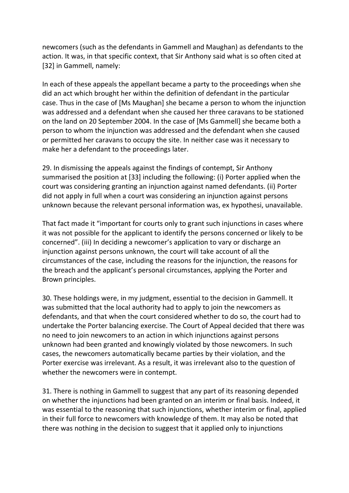newcomers (such as the defendants in Gammell and Maughan) as defendants to the action. It was, in that specific context, that Sir Anthony said what is so often cited at [32] in Gammell, namely:

In each of these appeals the appellant became a party to the proceedings when she did an act which brought her within the definition of defendant in the particular case. Thus in the case of [Ms Maughan] she became a person to whom the injunction was addressed and a defendant when she caused her three caravans to be stationed on the land on 20 September 2004. In the case of [Ms Gammell] she became both a person to whom the injunction was addressed and the defendant when she caused or permitted her caravans to occupy the site. In neither case was it necessary to make her a defendant to the proceedings later.

29. In dismissing the appeals against the findings of contempt, Sir Anthony summarised the position at [33] including the following: (i) Porter applied when the court was considering granting an injunction against named defendants. (ii) Porter did not apply in full when a court was considering an injunction against persons unknown because the relevant personal information was, ex hypothesi, unavailable.

That fact made it "important for courts only to grant such injunctions in cases where it was not possible for the applicant to identify the persons concerned or likely to be concerned". (iii) In deciding a newcomer's application to vary or discharge an injunction against persons unknown, the court will take account of all the circumstances of the case, including the reasons for the injunction, the reasons for the breach and the applicant's personal circumstances, applying the Porter and Brown principles.

30. These holdings were, in my judgment, essential to the decision in Gammell. It was submitted that the local authority had to apply to join the newcomers as defendants, and that when the court considered whether to do so, the court had to undertake the Porter balancing exercise. The Court of Appeal decided that there was no need to join newcomers to an action in which injunctions against persons unknown had been granted and knowingly violated by those newcomers. In such cases, the newcomers automatically became parties by their violation, and the Porter exercise was irrelevant. As a result, it was irrelevant also to the question of whether the newcomers were in contempt.

31. There is nothing in Gammell to suggest that any part of its reasoning depended on whether the injunctions had been granted on an interim or final basis. Indeed, it was essential to the reasoning that such injunctions, whether interim or final, applied in their full force to newcomers with knowledge of them. It may also be noted that there was nothing in the decision to suggest that it applied only to injunctions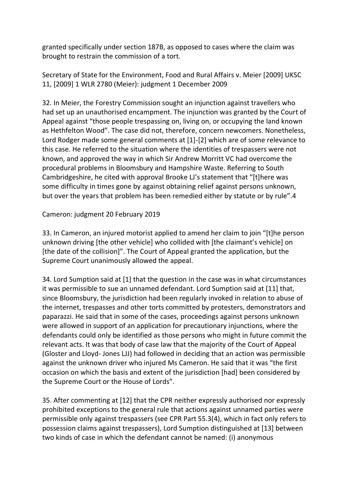granted specifically under section 187B, as opposed to cases where the claim was brought to restrain the commission of a tort.

Secretary of State for the Environment, Food and Rural Affairs v. Meier [2009] UKSC 11, [2009] 1 WLR 2780 (Meier): judgment 1 December 2009

32. In Meier, the Forestry Commission sought an injunction against travellers who had set up an unauthorised encampment. The injunction was granted by the Court of Appeal against "those people trespassing on, living on, or occupying the land known as Hethfelton Wood". The case did not, therefore, concern newcomers. Nonetheless, Lord Rodger made some general comments at [1]-[2] which are of some relevance to this case. He referred to the situation where the identities of trespassers were not known, and approved the way in which Sir Andrew Morritt VC had overcome the procedural problems in Bloomsbury and Hampshire Waste. Referring to South Cambridgeshire, he cited with approval Brooke LJ's statement that "[t]here was some difficulty in times gone by against obtaining relief against persons unknown, but over the years that problem has been remedied either by statute or by rule".4

Cameron: judgment 20 February 2019

33. In Cameron, an injured motorist applied to amend her claim to join "[t]he person unknown driving [the other vehicle] who collided with [the claimant's vehicle] on [the date of the collision]". The Court of Appeal granted the application, but the Supreme Court unanimously allowed the appeal.

34. Lord Sumption said at [1] that the question in the case was in what circumstances it was permissible to sue an unnamed defendant. Lord Sumption said at [11] that, since Bloomsbury, the jurisdiction had been regularly invoked in relation to abuse of the internet, trespasses and other torts committed by protesters, demonstrators and paparazzi. He said that in some of the cases, proceedings against persons unknown were allowed in support of an application for precautionary injunctions, where the defendants could only be identified as those persons who might in future commit the relevant acts. It was that body of case law that the majority of the Court of Appeal (Gloster and Lloyd- Jones LJJ) had followed in deciding that an action was permissible against the unknown driver who injured Ms Cameron. He said that it was "the first occasion on which the basis and extent of the jurisdiction [had] been considered by the Supreme Court or the House of Lords".

35. After commenting at [12] that the CPR neither expressly authorised nor expressly prohibited exceptions to the general rule that actions against unnamed parties were permissible only against trespassers (see CPR Part 55.3(4), which in fact only refers to possession claims against trespassers), Lord Sumption distinguished at [13] between two kinds of case in which the defendant cannot be named: (i) anonymous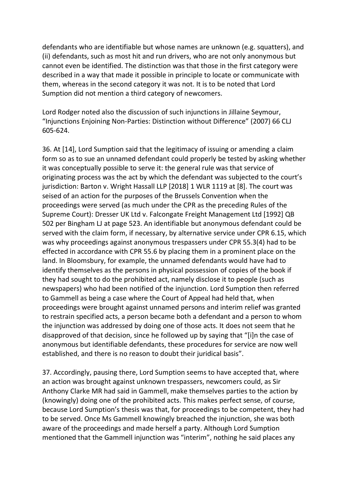defendants who are identifiable but whose names are unknown (e.g. squatters), and (ii) defendants, such as most hit and run drivers, who are not only anonymous but cannot even be identified. The distinction was that those in the first category were described in a way that made it possible in principle to locate or communicate with them, whereas in the second category it was not. It is to be noted that Lord Sumption did not mention a third category of newcomers.

Lord Rodger noted also the discussion of such injunctions in Jillaine Seymour, "Injunctions Enjoining Non-Parties: Distinction without Difference" (2007) 66 CLJ 605-624.

36. At [14], Lord Sumption said that the legitimacy of issuing or amending a claim form so as to sue an unnamed defendant could properly be tested by asking whether it was conceptually possible to serve it: the general rule was that service of originating process was the act by which the defendant was subjected to the court's jurisdiction: Barton v. Wright Hassall LLP [2018] 1 WLR 1119 at [8]. The court was seised of an action for the purposes of the Brussels Convention when the proceedings were served (as much under the CPR as the preceding Rules of the Supreme Court): Dresser UK Ltd v. Falcongate Freight Management Ltd [1992] QB 502 per Bingham LJ at page 523. An identifiable but anonymous defendant could be served with the claim form, if necessary, by alternative service under CPR 6.15, which was why proceedings against anonymous trespassers under CPR 55.3(4) had to be effected in accordance with CPR 55.6 by placing them in a prominent place on the land. In Bloomsbury, for example, the unnamed defendants would have had to identify themselves as the persons in physical possession of copies of the book if they had sought to do the prohibited act, namely disclose it to people (such as newspapers) who had been notified of the injunction. Lord Sumption then referred to Gammell as being a case where the Court of Appeal had held that, when proceedings were brought against unnamed persons and interim relief was granted to restrain specified acts, a person became both a defendant and a person to whom the injunction was addressed by doing one of those acts. It does not seem that he disapproved of that decision, since he followed up by saying that "[i]n the case of anonymous but identifiable defendants, these procedures for service are now well established, and there is no reason to doubt their juridical basis".

37. Accordingly, pausing there, Lord Sumption seems to have accepted that, where an action was brought against unknown trespassers, newcomers could, as Sir Anthony Clarke MR had said in Gammell, make themselves parties to the action by (knowingly) doing one of the prohibited acts. This makes perfect sense, of course, because Lord Sumption's thesis was that, for proceedings to be competent, they had to be served. Once Ms Gammell knowingly breached the injunction, she was both aware of the proceedings and made herself a party. Although Lord Sumption mentioned that the Gammell injunction was "interim", nothing he said places any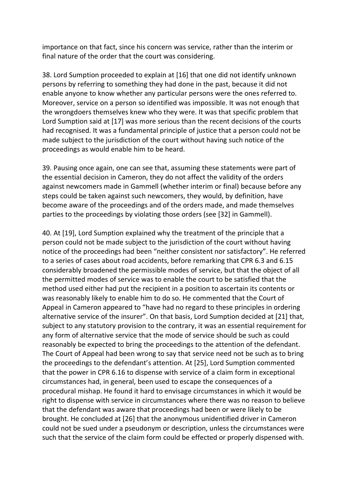importance on that fact, since his concern was service, rather than the interim or final nature of the order that the court was considering.

38. Lord Sumption proceeded to explain at [16] that one did not identify unknown persons by referring to something they had done in the past, because it did not enable anyone to know whether any particular persons were the ones referred to. Moreover, service on a person so identified was impossible. It was not enough that the wrongdoers themselves knew who they were. It was that specific problem that Lord Sumption said at [17] was more serious than the recent decisions of the courts had recognised. It was a fundamental principle of justice that a person could not be made subject to the jurisdiction of the court without having such notice of the proceedings as would enable him to be heard.

39. Pausing once again, one can see that, assuming these statements were part of the essential decision in Cameron, they do not affect the validity of the orders against newcomers made in Gammell (whether interim or final) because before any steps could be taken against such newcomers, they would, by definition, have become aware of the proceedings and of the orders made, and made themselves parties to the proceedings by violating those orders (see [32] in Gammell).

40. At [19], Lord Sumption explained why the treatment of the principle that a person could not be made subject to the jurisdiction of the court without having notice of the proceedings had been "neither consistent nor satisfactory". He referred to a series of cases about road accidents, before remarking that CPR 6.3 and 6.15 considerably broadened the permissible modes of service, but that the object of all the permitted modes of service was to enable the court to be satisfied that the method used either had put the recipient in a position to ascertain its contents or was reasonably likely to enable him to do so. He commented that the Court of Appeal in Cameron appeared to "have had no regard to these principles in ordering alternative service of the insurer". On that basis, Lord Sumption decided at [21] that, subject to any statutory provision to the contrary, it was an essential requirement for any form of alternative service that the mode of service should be such as could reasonably be expected to bring the proceedings to the attention of the defendant. The Court of Appeal had been wrong to say that service need not be such as to bring the proceedings to the defendant's attention. At [25], Lord Sumption commented that the power in CPR 6.16 to dispense with service of a claim form in exceptional circumstances had, in general, been used to escape the consequences of a procedural mishap. He found it hard to envisage circumstances in which it would be right to dispense with service in circumstances where there was no reason to believe that the defendant was aware that proceedings had been or were likely to be brought. He concluded at [26] that the anonymous unidentified driver in Cameron could not be sued under a pseudonym or description, unless the circumstances were such that the service of the claim form could be effected or properly dispensed with.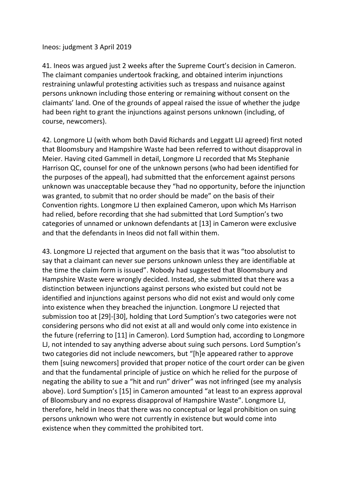#### Ineos: judgment 3 April 2019

41. Ineos was argued just 2 weeks after the Supreme Court's decision in Cameron. The claimant companies undertook fracking, and obtained interim injunctions restraining unlawful protesting activities such as trespass and nuisance against persons unknown including those entering or remaining without consent on the claimants' land. One of the grounds of appeal raised the issue of whether the judge had been right to grant the injunctions against persons unknown (including, of course, newcomers).

42. Longmore LJ (with whom both David Richards and Leggatt LJJ agreed) first noted that Bloomsbury and Hampshire Waste had been referred to without disapproval in Meier. Having cited Gammell in detail, Longmore LJ recorded that Ms Stephanie Harrison QC, counsel for one of the unknown persons (who had been identified for the purposes of the appeal), had submitted that the enforcement against persons unknown was unacceptable because they "had no opportunity, before the injunction was granted, to submit that no order should be made" on the basis of their Convention rights. Longmore LJ then explained Cameron, upon which Ms Harrison had relied, before recording that she had submitted that Lord Sumption's two categories of unnamed or unknown defendants at [13] in Cameron were exclusive and that the defendants in Ineos did not fall within them.

43. Longmore LJ rejected that argument on the basis that it was "too absolutist to say that a claimant can never sue persons unknown unless they are identifiable at the time the claim form is issued". Nobody had suggested that Bloomsbury and Hampshire Waste were wrongly decided. Instead, she submitted that there was a distinction between injunctions against persons who existed but could not be identified and injunctions against persons who did not exist and would only come into existence when they breached the injunction. Longmore LJ rejected that submission too at [29]-[30], holding that Lord Sumption's two categories were not considering persons who did not exist at all and would only come into existence in the future (referring to [11] in Cameron). Lord Sumption had, according to Longmore LJ, not intended to say anything adverse about suing such persons. Lord Sumption's two categories did not include newcomers, but "[h]e appeared rather to approve them [suing newcomers] provided that proper notice of the court order can be given and that the fundamental principle of justice on which he relied for the purpose of negating the ability to sue a "hit and run" driver" was not infringed (see my analysis above). Lord Sumption's [15] in Cameron amounted "at least to an express approval of Bloomsbury and no express disapproval of Hampshire Waste". Longmore LJ, therefore, held in Ineos that there was no conceptual or legal prohibition on suing persons unknown who were not currently in existence but would come into existence when they committed the prohibited tort.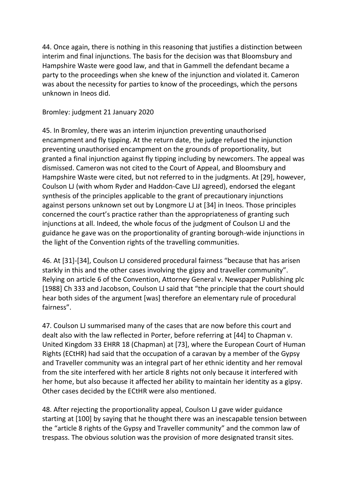44. Once again, there is nothing in this reasoning that justifies a distinction between interim and final injunctions. The basis for the decision was that Bloomsbury and Hampshire Waste were good law, and that in Gammell the defendant became a party to the proceedings when she knew of the injunction and violated it. Cameron was about the necessity for parties to know of the proceedings, which the persons unknown in Ineos did.

Bromley: judgment 21 January 2020

45. In Bromley, there was an interim injunction preventing unauthorised encampment and fly tipping. At the return date, the judge refused the injunction preventing unauthorised encampment on the grounds of proportionality, but granted a final injunction against fly tipping including by newcomers. The appeal was dismissed. Cameron was not cited to the Court of Appeal, and Bloomsbury and Hampshire Waste were cited, but not referred to in the judgments. At [29], however, Coulson LJ (with whom Ryder and Haddon-Cave LJJ agreed), endorsed the elegant synthesis of the principles applicable to the grant of precautionary injunctions against persons unknown set out by Longmore LJ at [34] in Ineos. Those principles concerned the court's practice rather than the appropriateness of granting such injunctions at all. Indeed, the whole focus of the judgment of Coulson LJ and the guidance he gave was on the proportionality of granting borough-wide injunctions in the light of the Convention rights of the travelling communities.

46. At [31]-[34], Coulson LJ considered procedural fairness "because that has arisen starkly in this and the other cases involving the gipsy and traveller community". Relying on article 6 of the Convention, Attorney General v. Newspaper Publishing plc [1988] Ch 333 and Jacobson, Coulson LJ said that "the principle that the court should hear both sides of the argument [was] therefore an elementary rule of procedural fairness".

47. Coulson LJ summarised many of the cases that are now before this court and dealt also with the law reflected in Porter, before referring at [44] to Chapman v. United Kingdom 33 EHRR 18 (Chapman) at [73], where the European Court of Human Rights (ECtHR) had said that the occupation of a caravan by a member of the Gypsy and Traveller community was an integral part of her ethnic identity and her removal from the site interfered with her article 8 rights not only because it interfered with her home, but also because it affected her ability to maintain her identity as a gipsy. Other cases decided by the ECtHR were also mentioned.

48. After rejecting the proportionality appeal, Coulson LJ gave wider guidance starting at [100] by saying that he thought there was an inescapable tension between the "article 8 rights of the Gypsy and Traveller community" and the common law of trespass. The obvious solution was the provision of more designated transit sites.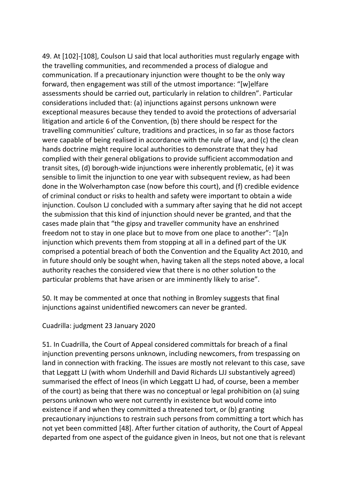49. At [102]-[108], Coulson LJ said that local authorities must regularly engage with the travelling communities, and recommended a process of dialogue and communication. If a precautionary injunction were thought to be the only way forward, then engagement was still of the utmost importance: "[w]elfare assessments should be carried out, particularly in relation to children". Particular considerations included that: (a) injunctions against persons unknown were exceptional measures because they tended to avoid the protections of adversarial litigation and article 6 of the Convention, (b) there should be respect for the travelling communities' culture, traditions and practices, in so far as those factors were capable of being realised in accordance with the rule of law, and (c) the clean hands doctrine might require local authorities to demonstrate that they had complied with their general obligations to provide sufficient accommodation and transit sites, (d) borough-wide injunctions were inherently problematic, (e) it was sensible to limit the injunction to one year with subsequent review, as had been done in the Wolverhampton case (now before this court), and (f) credible evidence of criminal conduct or risks to health and safety were important to obtain a wide injunction. Coulson LJ concluded with a summary after saying that he did not accept the submission that this kind of injunction should never be granted, and that the cases made plain that "the gipsy and traveller community have an enshrined freedom not to stay in one place but to move from one place to another": "[a]n injunction which prevents them from stopping at all in a defined part of the UK comprised a potential breach of both the Convention and the Equality Act 2010, and in future should only be sought when, having taken all the steps noted above, a local authority reaches the considered view that there is no other solution to the particular problems that have arisen or are imminently likely to arise".

50. It may be commented at once that nothing in Bromley suggests that final injunctions against unidentified newcomers can never be granted.

Cuadrilla: judgment 23 January 2020

51. In Cuadrilla, the Court of Appeal considered committals for breach of a final injunction preventing persons unknown, including newcomers, from trespassing on land in connection with fracking. The issues are mostly not relevant to this case, save that Leggatt LJ (with whom Underhill and David Richards LJJ substantively agreed) summarised the effect of Ineos (in which Leggatt LJ had, of course, been a member of the court) as being that there was no conceptual or legal prohibition on (a) suing persons unknown who were not currently in existence but would come into existence if and when they committed a threatened tort, or (b) granting precautionary injunctions to restrain such persons from committing a tort which has not yet been committed [48]. After further citation of authority, the Court of Appeal departed from one aspect of the guidance given in Ineos, but not one that is relevant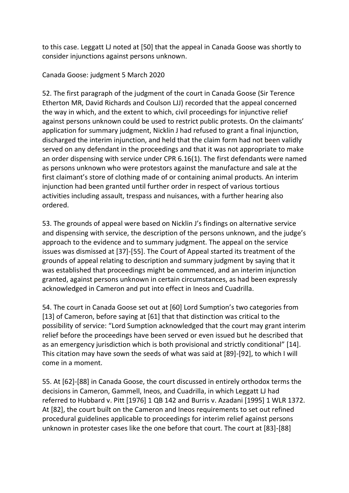to this case. Leggatt LJ noted at [50] that the appeal in Canada Goose was shortly to consider injunctions against persons unknown.

Canada Goose: judgment 5 March 2020

52. The first paragraph of the judgment of the court in Canada Goose (Sir Terence Etherton MR, David Richards and Coulson LJJ) recorded that the appeal concerned the way in which, and the extent to which, civil proceedings for injunctive relief against persons unknown could be used to restrict public protests. On the claimants' application for summary judgment, Nicklin J had refused to grant a final injunction, discharged the interim injunction, and held that the claim form had not been validly served on any defendant in the proceedings and that it was not appropriate to make an order dispensing with service under CPR 6.16(1). The first defendants were named as persons unknown who were protestors against the manufacture and sale at the first claimant's store of clothing made of or containing animal products. An interim injunction had been granted until further order in respect of various tortious activities including assault, trespass and nuisances, with a further hearing also ordered.

53. The grounds of appeal were based on Nicklin J's findings on alternative service and dispensing with service, the description of the persons unknown, and the judge's approach to the evidence and to summary judgment. The appeal on the service issues was dismissed at [37]-[55]. The Court of Appeal started its treatment of the grounds of appeal relating to description and summary judgment by saying that it was established that proceedings might be commenced, and an interim injunction granted, against persons unknown in certain circumstances, as had been expressly acknowledged in Cameron and put into effect in Ineos and Cuadrilla.

54. The court in Canada Goose set out at [60] Lord Sumption's two categories from [13] of Cameron, before saying at [61] that that distinction was critical to the possibility of service: "Lord Sumption acknowledged that the court may grant interim relief before the proceedings have been served or even issued but he described that as an emergency jurisdiction which is both provisional and strictly conditional" [14]. This citation may have sown the seeds of what was said at [89]-[92], to which I will come in a moment.

55. At [62]-[88] in Canada Goose, the court discussed in entirely orthodox terms the decisions in Cameron, Gammell, Ineos, and Cuadrilla, in which Leggatt LJ had referred to Hubbard v. Pitt [1976] 1 QB 142 and Burris v. Azadani [1995] 1 WLR 1372. At [82], the court built on the Cameron and Ineos requirements to set out refined procedural guidelines applicable to proceedings for interim relief against persons unknown in protester cases like the one before that court. The court at [83]-[88]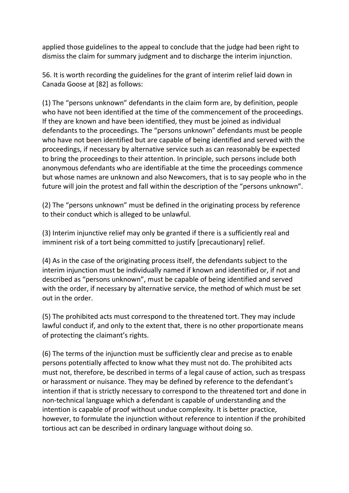applied those guidelines to the appeal to conclude that the judge had been right to dismiss the claim for summary judgment and to discharge the interim injunction.

56. It is worth recording the guidelines for the grant of interim relief laid down in Canada Goose at [82] as follows:

(1) The "persons unknown" defendants in the claim form are, by definition, people who have not been identified at the time of the commencement of the proceedings. If they are known and have been identified, they must be joined as individual defendants to the proceedings. The "persons unknown" defendants must be people who have not been identified but are capable of being identified and served with the proceedings, if necessary by alternative service such as can reasonably be expected to bring the proceedings to their attention. In principle, such persons include both anonymous defendants who are identifiable at the time the proceedings commence but whose names are unknown and also Newcomers, that is to say people who in the future will join the protest and fall within the description of the "persons unknown".

(2) The "persons unknown" must be defined in the originating process by reference to their conduct which is alleged to be unlawful.

(3) Interim injunctive relief may only be granted if there is a sufficiently real and imminent risk of a tort being committed to justify [precautionary] relief.

(4) As in the case of the originating process itself, the defendants subject to the interim injunction must be individually named if known and identified or, if not and described as "persons unknown", must be capable of being identified and served with the order, if necessary by alternative service, the method of which must be set out in the order.

(5) The prohibited acts must correspond to the threatened tort. They may include lawful conduct if, and only to the extent that, there is no other proportionate means of protecting the claimant's rights.

(6) The terms of the injunction must be sufficiently clear and precise as to enable persons potentially affected to know what they must not do. The prohibited acts must not, therefore, be described in terms of a legal cause of action, such as trespass or harassment or nuisance. They may be defined by reference to the defendant's intention if that is strictly necessary to correspond to the threatened tort and done in non-technical language which a defendant is capable of understanding and the intention is capable of proof without undue complexity. It is better practice, however, to formulate the injunction without reference to intention if the prohibited tortious act can be described in ordinary language without doing so.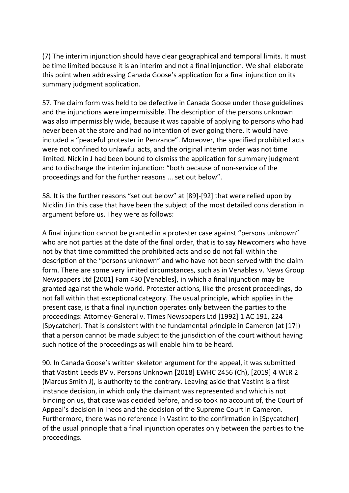(7) The interim injunction should have clear geographical and temporal limits. It must be time limited because it is an interim and not a final injunction. We shall elaborate this point when addressing Canada Goose's application for a final injunction on its summary judgment application.

57. The claim form was held to be defective in Canada Goose under those guidelines and the injunctions were impermissible. The description of the persons unknown was also impermissibly wide, because it was capable of applying to persons who had never been at the store and had no intention of ever going there. It would have included a "peaceful protester in Penzance". Moreover, the specified prohibited acts were not confined to unlawful acts, and the original interim order was not time limited. Nicklin J had been bound to dismiss the application for summary judgment and to discharge the interim injunction: "both because of non-service of the proceedings and for the further reasons ... set out below".

58. It is the further reasons "set out below" at [89]-[92] that were relied upon by Nicklin J in this case that have been the subject of the most detailed consideration in argument before us. They were as follows:

A final injunction cannot be granted in a protester case against "persons unknown" who are not parties at the date of the final order, that is to say Newcomers who have not by that time committed the prohibited acts and so do not fall within the description of the "persons unknown" and who have not been served with the claim form. There are some very limited circumstances, such as in Venables v. News Group Newspapers Ltd [2001] Fam 430 [Venables], in which a final injunction may be granted against the whole world. Protester actions, like the present proceedings, do not fall within that exceptional category. The usual principle, which applies in the present case, is that a final injunction operates only between the parties to the proceedings: Attorney-General v. Times Newspapers Ltd [1992] 1 AC 191, 224 [Spycatcher]. That is consistent with the fundamental principle in Cameron (at [17]) that a person cannot be made subject to the jurisdiction of the court without having such notice of the proceedings as will enable him to be heard.

90. In Canada Goose's written skeleton argument for the appeal, it was submitted that Vastint Leeds BV v. Persons Unknown [2018] EWHC 2456 (Ch), [2019] 4 WLR 2 (Marcus Smith J), is authority to the contrary. Leaving aside that Vastint is a first instance decision, in which only the claimant was represented and which is not binding on us, that case was decided before, and so took no account of, the Court of Appeal's decision in Ineos and the decision of the Supreme Court in Cameron. Furthermore, there was no reference in Vastint to the confirmation in [Spycatcher] of the usual principle that a final injunction operates only between the parties to the proceedings.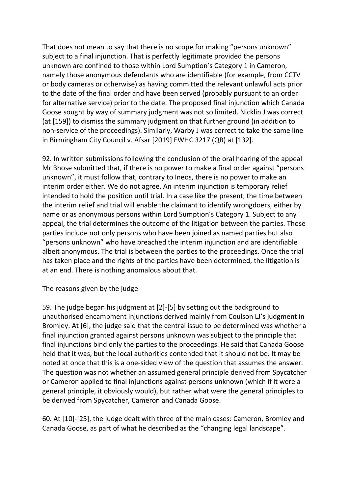That does not mean to say that there is no scope for making "persons unknown" subject to a final injunction. That is perfectly legitimate provided the persons unknown are confined to those within Lord Sumption's Category 1 in Cameron, namely those anonymous defendants who are identifiable (for example, from CCTV or body cameras or otherwise) as having committed the relevant unlawful acts prior to the date of the final order and have been served (probably pursuant to an order for alternative service) prior to the date. The proposed final injunction which Canada Goose sought by way of summary judgment was not so limited. Nicklin J was correct (at [159]) to dismiss the summary judgment on that further ground (in addition to non-service of the proceedings). Similarly, Warby J was correct to take the same line in Birmingham City Council v. Afsar [2019] EWHC 3217 (QB) at [132].

92. In written submissions following the conclusion of the oral hearing of the appeal Mr Bhose submitted that, if there is no power to make a final order against "persons unknown", it must follow that, contrary to Ineos, there is no power to make an interim order either. We do not agree. An interim injunction is temporary relief intended to hold the position until trial. In a case like the present, the time between the interim relief and trial will enable the claimant to identify wrongdoers, either by name or as anonymous persons within Lord Sumption's Category 1. Subject to any appeal, the trial determines the outcome of the litigation between the parties. Those parties include not only persons who have been joined as named parties but also "persons unknown" who have breached the interim injunction and are identifiable albeit anonymous. The trial is between the parties to the proceedings. Once the trial has taken place and the rights of the parties have been determined, the litigation is at an end. There is nothing anomalous about that.

### The reasons given by the judge

59. The judge began his judgment at [2]-[5] by setting out the background to unauthorised encampment injunctions derived mainly from Coulson LJ's judgment in Bromley. At [6], the judge said that the central issue to be determined was whether a final injunction granted against persons unknown was subject to the principle that final injunctions bind only the parties to the proceedings. He said that Canada Goose held that it was, but the local authorities contended that it should not be. It may be noted at once that this is a one-sided view of the question that assumes the answer. The question was not whether an assumed general principle derived from Spycatcher or Cameron applied to final injunctions against persons unknown (which if it were a general principle, it obviously would), but rather what were the general principles to be derived from Spycatcher, Cameron and Canada Goose.

60. At [10]-[25], the judge dealt with three of the main cases: Cameron, Bromley and Canada Goose, as part of what he described as the "changing legal landscape".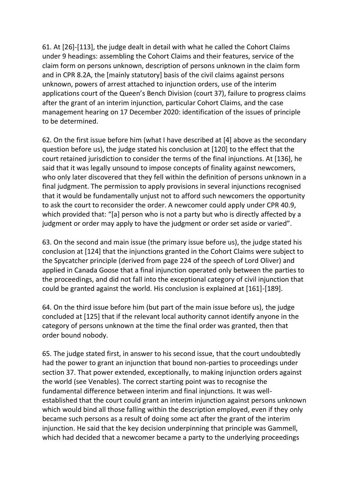61. At [26]-[113], the judge dealt in detail with what he called the Cohort Claims under 9 headings: assembling the Cohort Claims and their features, service of the claim form on persons unknown, description of persons unknown in the claim form and in CPR 8.2A, the [mainly statutory] basis of the civil claims against persons unknown, powers of arrest attached to injunction orders, use of the interim applications court of the Queen's Bench Division (court 37), failure to progress claims after the grant of an interim injunction, particular Cohort Claims, and the case management hearing on 17 December 2020: identification of the issues of principle to be determined.

62. On the first issue before him (what I have described at [4] above as the secondary question before us), the judge stated his conclusion at [120] to the effect that the court retained jurisdiction to consider the terms of the final injunctions. At [136], he said that it was legally unsound to impose concepts of finality against newcomers, who only later discovered that they fell within the definition of persons unknown in a final judgment. The permission to apply provisions in several injunctions recognised that it would be fundamentally unjust not to afford such newcomers the opportunity to ask the court to reconsider the order. A newcomer could apply under CPR 40.9, which provided that: "[a] person who is not a party but who is directly affected by a judgment or order may apply to have the judgment or order set aside or varied".

63. On the second and main issue (the primary issue before us), the judge stated his conclusion at [124] that the injunctions granted in the Cohort Claims were subject to the Spycatcher principle (derived from page 224 of the speech of Lord Oliver) and applied in Canada Goose that a final injunction operated only between the parties to the proceedings, and did not fall into the exceptional category of civil injunction that could be granted against the world. His conclusion is explained at [161]-[189].

64. On the third issue before him (but part of the main issue before us), the judge concluded at [125] that if the relevant local authority cannot identify anyone in the category of persons unknown at the time the final order was granted, then that order bound nobody.

65. The judge stated first, in answer to his second issue, that the court undoubtedly had the power to grant an injunction that bound non-parties to proceedings under section 37. That power extended, exceptionally, to making injunction orders against the world (see Venables). The correct starting point was to recognise the fundamental difference between interim and final injunctions. It was wellestablished that the court could grant an interim injunction against persons unknown which would bind all those falling within the description employed, even if they only became such persons as a result of doing some act after the grant of the interim injunction. He said that the key decision underpinning that principle was Gammell, which had decided that a newcomer became a party to the underlying proceedings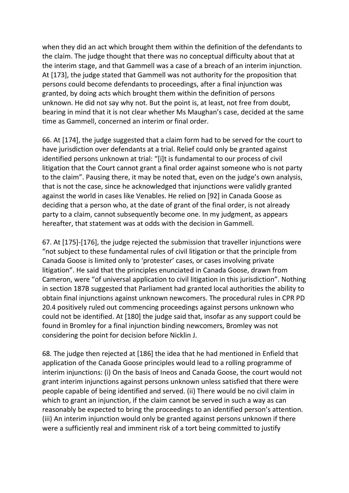when they did an act which brought them within the definition of the defendants to the claim. The judge thought that there was no conceptual difficulty about that at the interim stage, and that Gammell was a case of a breach of an interim injunction. At [173], the judge stated that Gammell was not authority for the proposition that persons could become defendants to proceedings, after a final injunction was granted, by doing acts which brought them within the definition of persons unknown. He did not say why not. But the point is, at least, not free from doubt, bearing in mind that it is not clear whether Ms Maughan's case, decided at the same time as Gammell, concerned an interim or final order.

66. At [174], the judge suggested that a claim form had to be served for the court to have jurisdiction over defendants at a trial. Relief could only be granted against identified persons unknown at trial: "[i]t is fundamental to our process of civil litigation that the Court cannot grant a final order against someone who is not party to the claim". Pausing there, it may be noted that, even on the judge's own analysis, that is not the case, since he acknowledged that injunctions were validly granted against the world in cases like Venables. He relied on [92] in Canada Goose as deciding that a person who, at the date of grant of the final order, is not already party to a claim, cannot subsequently become one. In my judgment, as appears hereafter, that statement was at odds with the decision in Gammell.

67. At [175]-[176], the judge rejected the submission that traveller injunctions were "not subject to these fundamental rules of civil litigation or that the principle from Canada Goose is limited only to 'protester' cases, or cases involving private litigation". He said that the principles enunciated in Canada Goose, drawn from Cameron, were "of universal application to civil litigation in this jurisdiction". Nothing in section 187B suggested that Parliament had granted local authorities the ability to obtain final injunctions against unknown newcomers. The procedural rules in CPR PD 20.4 positively ruled out commencing proceedings against persons unknown who could not be identified. At [180] the judge said that, insofar as any support could be found in Bromley for a final injunction binding newcomers, Bromley was not considering the point for decision before Nicklin J.

68. The judge then rejected at [186] the idea that he had mentioned in Enfield that application of the Canada Goose principles would lead to a rolling programme of interim injunctions: (i) On the basis of Ineos and Canada Goose, the court would not grant interim injunctions against persons unknown unless satisfied that there were people capable of being identified and served. (ii) There would be no civil claim in which to grant an injunction, if the claim cannot be served in such a way as can reasonably be expected to bring the proceedings to an identified person's attention. (iii) An interim injunction would only be granted against persons unknown if there were a sufficiently real and imminent risk of a tort being committed to justify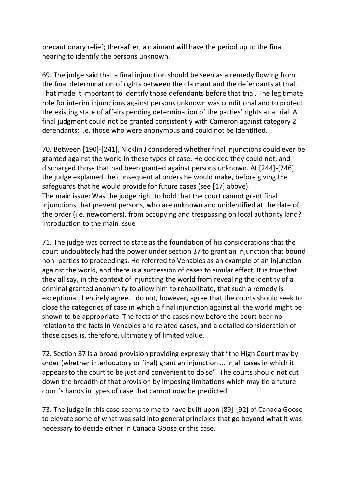precautionary relief; thereafter, a claimant will have the period up to the final hearing to identify the persons unknown.

69. The judge said that a final injunction should be seen as a remedy flowing from the final determination of rights between the claimant and the defendants at trial. That made it important to identify those defendants before that trial. The legitimate role for interim injunctions against persons unknown was conditional and to protect the existing state of affairs pending determination of the parties' rights at a trial. A final judgment could not be granted consistently with Cameron against category 2 defendants: i.e. those who were anonymous and could not be identified.

70. Between [190]-[241], Nicklin J considered whether final injunctions could ever be granted against the world in these types of case. He decided they could not, and discharged those that had been granted against persons unknown. At [244]-[246], the judge explained the consequential orders he would make, before giving the safeguards that he would provide for future cases (see [17] above). The main issue: Was the judge right to hold that the court cannot grant final injunctions that prevent persons, who are unknown and unidentified at the date of the order (i.e. newcomers), from occupying and trespassing on local authority land? Introduction to the main issue

71. The judge was correct to state as the foundation of his considerations that the court undoubtedly had the power under section 37 to grant an injunction that bound non- parties to proceedings. He referred to Venables as an example of an injunction against the world, and there is a succession of cases to similar effect. It is true that they all say, in the context of injuncting the world from revealing the identity of a criminal granted anonymity to allow him to rehabilitate, that such a remedy is exceptional. I entirely agree. I do not, however, agree that the courts should seek to close the categories of case in which a final injunction against all the world might be shown to be appropriate. The facts of the cases now before the court bear no relation to the facts in Venables and related cases, and a detailed consideration of those cases is, therefore, ultimately of limited value.

72. Section 37 is a broad provision providing expressly that "the High Court may by order (whether interlocutory or final) grant an injunction ... in all cases in which it appears to the court to be just and convenient to do so". The courts should not cut down the breadth of that provision by imposing limitations which may tie a future court's hands in types of case that cannot now be predicted.

73. The judge in this case seems to me to have built upon [89]-[92] of Canada Goose to elevate some of what was said into general principles that go beyond what it was necessary to decide either in Canada Goose or this case.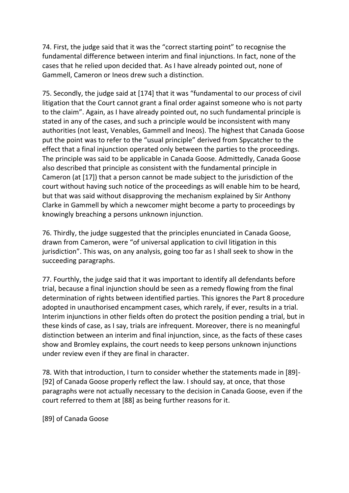74. First, the judge said that it was the "correct starting point" to recognise the fundamental difference between interim and final injunctions. In fact, none of the cases that he relied upon decided that. As I have already pointed out, none of Gammell, Cameron or Ineos drew such a distinction.

75. Secondly, the judge said at [174] that it was "fundamental to our process of civil litigation that the Court cannot grant a final order against someone who is not party to the claim". Again, as I have already pointed out, no such fundamental principle is stated in any of the cases, and such a principle would be inconsistent with many authorities (not least, Venables, Gammell and Ineos). The highest that Canada Goose put the point was to refer to the "usual principle" derived from Spycatcher to the effect that a final injunction operated only between the parties to the proceedings. The principle was said to be applicable in Canada Goose. Admittedly, Canada Goose also described that principle as consistent with the fundamental principle in Cameron (at [17]) that a person cannot be made subject to the jurisdiction of the court without having such notice of the proceedings as will enable him to be heard, but that was said without disapproving the mechanism explained by Sir Anthony Clarke in Gammell by which a newcomer might become a party to proceedings by knowingly breaching a persons unknown injunction.

76. Thirdly, the judge suggested that the principles enunciated in Canada Goose, drawn from Cameron, were "of universal application to civil litigation in this jurisdiction". This was, on any analysis, going too far as I shall seek to show in the succeeding paragraphs.

77. Fourthly, the judge said that it was important to identify all defendants before trial, because a final injunction should be seen as a remedy flowing from the final determination of rights between identified parties. This ignores the Part 8 procedure adopted in unauthorised encampment cases, which rarely, if ever, results in a trial. Interim injunctions in other fields often do protect the position pending a trial, but in these kinds of case, as I say, trials are infrequent. Moreover, there is no meaningful distinction between an interim and final injunction, since, as the facts of these cases show and Bromley explains, the court needs to keep persons unknown injunctions under review even if they are final in character.

78. With that introduction, I turn to consider whether the statements made in [89]- [92] of Canada Goose properly reflect the law. I should say, at once, that those paragraphs were not actually necessary to the decision in Canada Goose, even if the court referred to them at [88] as being further reasons for it.

[89] of Canada Goose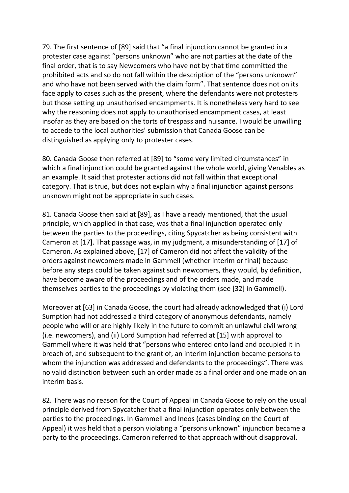79. The first sentence of [89] said that "a final injunction cannot be granted in a protester case against "persons unknown" who are not parties at the date of the final order, that is to say Newcomers who have not by that time committed the prohibited acts and so do not fall within the description of the "persons unknown" and who have not been served with the claim form". That sentence does not on its face apply to cases such as the present, where the defendants were not protesters but those setting up unauthorised encampments. It is nonetheless very hard to see why the reasoning does not apply to unauthorised encampment cases, at least insofar as they are based on the torts of trespass and nuisance. I would be unwilling to accede to the local authorities' submission that Canada Goose can be distinguished as applying only to protester cases.

80. Canada Goose then referred at [89] to "some very limited circumstances" in which a final injunction could be granted against the whole world, giving Venables as an example. It said that protester actions did not fall within that exceptional category. That is true, but does not explain why a final injunction against persons unknown might not be appropriate in such cases.

81. Canada Goose then said at [89], as I have already mentioned, that the usual principle, which applied in that case, was that a final injunction operated only between the parties to the proceedings, citing Spycatcher as being consistent with Cameron at [17]. That passage was, in my judgment, a misunderstanding of [17] of Cameron. As explained above, [17] of Cameron did not affect the validity of the orders against newcomers made in Gammell (whether interim or final) because before any steps could be taken against such newcomers, they would, by definition, have become aware of the proceedings and of the orders made, and made themselves parties to the proceedings by violating them (see [32] in Gammell).

Moreover at [63] in Canada Goose, the court had already acknowledged that (i) Lord Sumption had not addressed a third category of anonymous defendants, namely people who will or are highly likely in the future to commit an unlawful civil wrong (i.e. newcomers), and (ii) Lord Sumption had referred at [15] with approval to Gammell where it was held that "persons who entered onto land and occupied it in breach of, and subsequent to the grant of, an interim injunction became persons to whom the injunction was addressed and defendants to the proceedings". There was no valid distinction between such an order made as a final order and one made on an interim basis.

82. There was no reason for the Court of Appeal in Canada Goose to rely on the usual principle derived from Spycatcher that a final injunction operates only between the parties to the proceedings. In Gammell and Ineos (cases binding on the Court of Appeal) it was held that a person violating a "persons unknown" injunction became a party to the proceedings. Cameron referred to that approach without disapproval.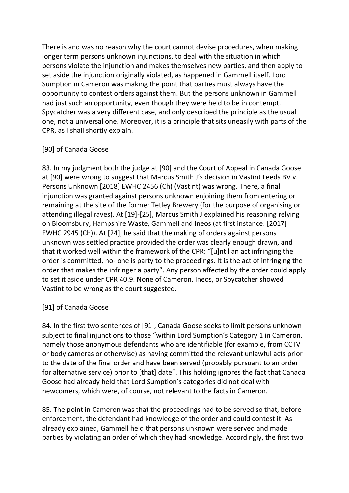There is and was no reason why the court cannot devise procedures, when making longer term persons unknown injunctions, to deal with the situation in which persons violate the injunction and makes themselves new parties, and then apply to set aside the injunction originally violated, as happened in Gammell itself. Lord Sumption in Cameron was making the point that parties must always have the opportunity to contest orders against them. But the persons unknown in Gammell had just such an opportunity, even though they were held to be in contempt. Spycatcher was a very different case, and only described the principle as the usual one, not a universal one. Moreover, it is a principle that sits uneasily with parts of the CPR, as I shall shortly explain.

## [90] of Canada Goose

83. In my judgment both the judge at [90] and the Court of Appeal in Canada Goose at [90] were wrong to suggest that Marcus Smith J's decision in Vastint Leeds BV v. Persons Unknown [2018] EWHC 2456 (Ch) (Vastint) was wrong. There, a final injunction was granted against persons unknown enjoining them from entering or remaining at the site of the former Tetley Brewery (for the purpose of organising or attending illegal raves). At [19]-[25], Marcus Smith J explained his reasoning relying on Bloomsbury, Hampshire Waste, Gammell and Ineos (at first instance: [2017] EWHC 2945 (Ch)). At [24], he said that the making of orders against persons unknown was settled practice provided the order was clearly enough drawn, and that it worked well within the framework of the CPR: "[u]ntil an act infringing the order is committed, no- one is party to the proceedings. It is the act of infringing the order that makes the infringer a party". Any person affected by the order could apply to set it aside under CPR 40.9. None of Cameron, Ineos, or Spycatcher showed Vastint to be wrong as the court suggested.

# [91] of Canada Goose

84. In the first two sentences of [91], Canada Goose seeks to limit persons unknown subject to final injunctions to those "within Lord Sumption's Category 1 in Cameron, namely those anonymous defendants who are identifiable (for example, from CCTV or body cameras or otherwise) as having committed the relevant unlawful acts prior to the date of the final order and have been served (probably pursuant to an order for alternative service) prior to [that] date". This holding ignores the fact that Canada Goose had already held that Lord Sumption's categories did not deal with newcomers, which were, of course, not relevant to the facts in Cameron.

85. The point in Cameron was that the proceedings had to be served so that, before enforcement, the defendant had knowledge of the order and could contest it. As already explained, Gammell held that persons unknown were served and made parties by violating an order of which they had knowledge. Accordingly, the first two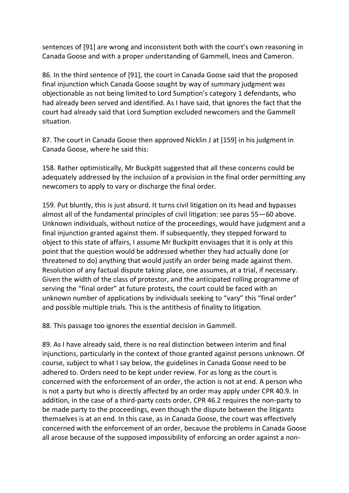sentences of [91] are wrong and inconsistent both with the court's own reasoning in Canada Goose and with a proper understanding of Gammell, Ineos and Cameron.

86. In the third sentence of [91], the court in Canada Goose said that the proposed final injunction which Canada Goose sought by way of summary judgment was objectionable as not being limited to Lord Sumption's category 1 defendants, who had already been served and identified. As I have said, that ignores the fact that the court had already said that Lord Sumption excluded newcomers and the Gammell situation.

87. The court in Canada Goose then approved Nicklin J at [159] in his judgment in Canada Goose, where he said this:

158. Rather optimistically, Mr Buckpitt suggested that all these concerns could be adequately addressed by the inclusion of a provision in the final order permitting any newcomers to apply to vary or discharge the final order.

159. Put bluntly, this is just absurd. It turns civil litigation on its head and bypasses almost all of the fundamental principles of civil litigation: see paras 55—60 above. Unknown individuals, without notice of the proceedings, would have judgment and a final injunction granted against them. If subsequently, they stepped forward to object to this state of affairs, I assume Mr Buckpitt envisages that it is only at this point that the question would be addressed whether they had actually done (or threatened to do) anything that would justify an order being made against them. Resolution of any factual dispute taking place, one assumes, at a trial, if necessary. Given the width of the class of protestor, and the anticipated rolling programme of serving the "final order" at future protests, the court could be faced with an unknown number of applications by individuals seeking to "vary" this "final order" and possible multiple trials. This is the antithesis of finality to litigation.

88. This passage too ignores the essential decision in Gammell.

89. As I have already said, there is no real distinction between interim and final injunctions, particularly in the context of those granted against persons unknown. Of course, subject to what I say below, the guidelines in Canada Goose need to be adhered to. Orders need to be kept under review. For as long as the court is concerned with the enforcement of an order, the action is not at end. A person who is not a party but who is directly affected by an order may apply under CPR 40.9. In addition, in the case of a third-party costs order, CPR 46.2 requires the non-party to be made party to the proceedings, even though the dispute between the litigants themselves is at an end. In this case, as in Canada Goose, the court was effectively concerned with the enforcement of an order, because the problems in Canada Goose all arose because of the supposed impossibility of enforcing an order against a non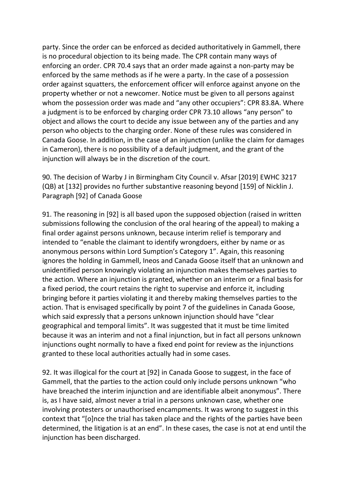party. Since the order can be enforced as decided authoritatively in Gammell, there is no procedural objection to its being made. The CPR contain many ways of enforcing an order. CPR 70.4 says that an order made against a non-party may be enforced by the same methods as if he were a party. In the case of a possession order against squatters, the enforcement officer will enforce against anyone on the property whether or not a newcomer. Notice must be given to all persons against whom the possession order was made and "any other occupiers": CPR 83.8A. Where a judgment is to be enforced by charging order CPR 73.10 allows "any person" to object and allows the court to decide any issue between any of the parties and any person who objects to the charging order. None of these rules was considered in Canada Goose. In addition, in the case of an injunction (unlike the claim for damages in Cameron), there is no possibility of a default judgment, and the grant of the injunction will always be in the discretion of the court.

90. The decision of Warby J in Birmingham City Council v. Afsar [2019] EWHC 3217 (QB) at [132] provides no further substantive reasoning beyond [159] of Nicklin J. Paragraph [92] of Canada Goose

91. The reasoning in [92] is all based upon the supposed objection (raised in written submissions following the conclusion of the oral hearing of the appeal) to making a final order against persons unknown, because interim relief is temporary and intended to "enable the claimant to identify wrongdoers, either by name or as anonymous persons within Lord Sumption's Category 1". Again, this reasoning ignores the holding in Gammell, Ineos and Canada Goose itself that an unknown and unidentified person knowingly violating an injunction makes themselves parties to the action. Where an injunction is granted, whether on an interim or a final basis for a fixed period, the court retains the right to supervise and enforce it, including bringing before it parties violating it and thereby making themselves parties to the action. That is envisaged specifically by point 7 of the guidelines in Canada Goose, which said expressly that a persons unknown injunction should have "clear geographical and temporal limits". It was suggested that it must be time limited because it was an interim and not a final injunction, but in fact all persons unknown injunctions ought normally to have a fixed end point for review as the injunctions granted to these local authorities actually had in some cases.

92. It was illogical for the court at [92] in Canada Goose to suggest, in the face of Gammell, that the parties to the action could only include persons unknown "who have breached the interim injunction and are identifiable albeit anonymous". There is, as I have said, almost never a trial in a persons unknown case, whether one involving protesters or unauthorised encampments. It was wrong to suggest in this context that "[o]nce the trial has taken place and the rights of the parties have been determined, the litigation is at an end". In these cases, the case is not at end until the injunction has been discharged.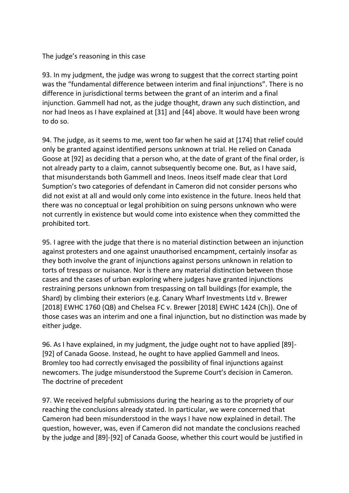### The judge's reasoning in this case

93. In my judgment, the judge was wrong to suggest that the correct starting point was the "fundamental difference between interim and final injunctions". There is no difference in jurisdictional terms between the grant of an interim and a final injunction. Gammell had not, as the judge thought, drawn any such distinction, and nor had Ineos as I have explained at [31] and [44] above. It would have been wrong to do so.

94. The judge, as it seems to me, went too far when he said at [174] that relief could only be granted against identified persons unknown at trial. He relied on Canada Goose at [92] as deciding that a person who, at the date of grant of the final order, is not already party to a claim, cannot subsequently become one. But, as I have said, that misunderstands both Gammell and Ineos. Ineos itself made clear that Lord Sumption's two categories of defendant in Cameron did not consider persons who did not exist at all and would only come into existence in the future. Ineos held that there was no conceptual or legal prohibition on suing persons unknown who were not currently in existence but would come into existence when they committed the prohibited tort.

95. I agree with the judge that there is no material distinction between an injunction against protesters and one against unauthorised encampment, certainly insofar as they both involve the grant of injunctions against persons unknown in relation to torts of trespass or nuisance. Nor is there any material distinction between those cases and the cases of urban exploring where judges have granted injunctions restraining persons unknown from trespassing on tall buildings (for example, the Shard) by climbing their exteriors (e.g. Canary Wharf Investments Ltd v. Brewer [2018] EWHC 1760 (QB) and Chelsea FC v. Brewer [2018] EWHC 1424 (Ch)). One of those cases was an interim and one a final injunction, but no distinction was made by either judge.

96. As I have explained, in my judgment, the judge ought not to have applied [89]- [92] of Canada Goose. Instead, he ought to have applied Gammell and Ineos. Bromley too had correctly envisaged the possibility of final injunctions against newcomers. The judge misunderstood the Supreme Court's decision in Cameron. The doctrine of precedent

97. We received helpful submissions during the hearing as to the propriety of our reaching the conclusions already stated. In particular, we were concerned that Cameron had been misunderstood in the ways I have now explained in detail. The question, however, was, even if Cameron did not mandate the conclusions reached by the judge and [89]-[92] of Canada Goose, whether this court would be justified in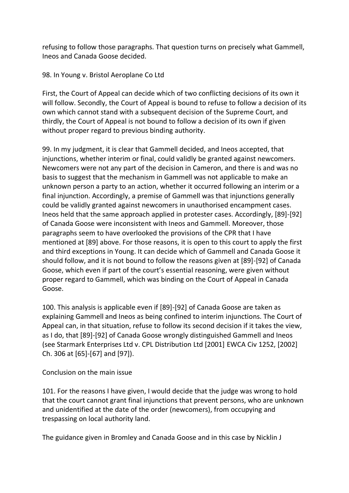refusing to follow those paragraphs. That question turns on precisely what Gammell, Ineos and Canada Goose decided.

### 98. In Young v. Bristol Aeroplane Co Ltd

First, the Court of Appeal can decide which of two conflicting decisions of its own it will follow. Secondly, the Court of Appeal is bound to refuse to follow a decision of its own which cannot stand with a subsequent decision of the Supreme Court, and thirdly, the Court of Appeal is not bound to follow a decision of its own if given without proper regard to previous binding authority.

99. In my judgment, it is clear that Gammell decided, and Ineos accepted, that injunctions, whether interim or final, could validly be granted against newcomers. Newcomers were not any part of the decision in Cameron, and there is and was no basis to suggest that the mechanism in Gammell was not applicable to make an unknown person a party to an action, whether it occurred following an interim or a final injunction. Accordingly, a premise of Gammell was that injunctions generally could be validly granted against newcomers in unauthorised encampment cases. Ineos held that the same approach applied in protester cases. Accordingly, [89]-[92] of Canada Goose were inconsistent with Ineos and Gammell. Moreover, those paragraphs seem to have overlooked the provisions of the CPR that I have mentioned at [89] above. For those reasons, it is open to this court to apply the first and third exceptions in Young. It can decide which of Gammell and Canada Goose it should follow, and it is not bound to follow the reasons given at [89]-[92] of Canada Goose, which even if part of the court's essential reasoning, were given without proper regard to Gammell, which was binding on the Court of Appeal in Canada Goose.

100. This analysis is applicable even if [89]-[92] of Canada Goose are taken as explaining Gammell and Ineos as being confined to interim injunctions. The Court of Appeal can, in that situation, refuse to follow its second decision if it takes the view, as I do, that [89]-[92] of Canada Goose wrongly distinguished Gammell and Ineos (see Starmark Enterprises Ltd v. CPL Distribution Ltd [2001] EWCA Civ 1252, [2002] Ch. 306 at [65]-[67] and [97]).

### Conclusion on the main issue

101. For the reasons I have given, I would decide that the judge was wrong to hold that the court cannot grant final injunctions that prevent persons, who are unknown and unidentified at the date of the order (newcomers), from occupying and trespassing on local authority land.

The guidance given in Bromley and Canada Goose and in this case by Nicklin J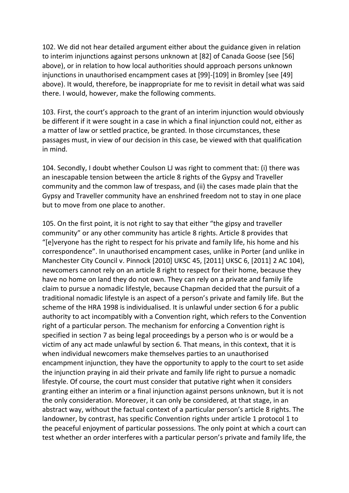102. We did not hear detailed argument either about the guidance given in relation to interim injunctions against persons unknown at [82] of Canada Goose (see [56] above), or in relation to how local authorities should approach persons unknown injunctions in unauthorised encampment cases at [99]-[109] in Bromley [see [49] above). It would, therefore, be inappropriate for me to revisit in detail what was said there. I would, however, make the following comments.

103. First, the court's approach to the grant of an interim injunction would obviously be different if it were sought in a case in which a final injunction could not, either as a matter of law or settled practice, be granted. In those circumstances, these passages must, in view of our decision in this case, be viewed with that qualification in mind.

104. Secondly, I doubt whether Coulson LJ was right to comment that: (i) there was an inescapable tension between the article 8 rights of the Gypsy and Traveller community and the common law of trespass, and (ii) the cases made plain that the Gypsy and Traveller community have an enshrined freedom not to stay in one place but to move from one place to another.

105. On the first point, it is not right to say that either "the gipsy and traveller community" or any other community has article 8 rights. Article 8 provides that "[e]veryone has the right to respect for his private and family life, his home and his correspondence". In unauthorised encampment cases, unlike in Porter (and unlike in Manchester City Council v. Pinnock [2010] UKSC 45, [2011] UKSC 6, [2011] 2 AC 104), newcomers cannot rely on an article 8 right to respect for their home, because they have no home on land they do not own. They can rely on a private and family life claim to pursue a nomadic lifestyle, because Chapman decided that the pursuit of a traditional nomadic lifestyle is an aspect of a person's private and family life. But the scheme of the HRA 1998 is individualised. It is unlawful under section 6 for a public authority to act incompatibly with a Convention right, which refers to the Convention right of a particular person. The mechanism for enforcing a Convention right is specified in section 7 as being legal proceedings by a person who is or would be a victim of any act made unlawful by section 6. That means, in this context, that it is when individual newcomers make themselves parties to an unauthorised encampment injunction, they have the opportunity to apply to the court to set aside the injunction praying in aid their private and family life right to pursue a nomadic lifestyle. Of course, the court must consider that putative right when it considers granting either an interim or a final injunction against persons unknown, but it is not the only consideration. Moreover, it can only be considered, at that stage, in an abstract way, without the factual context of a particular person's article 8 rights. The landowner, by contrast, has specific Convention rights under article 1 protocol 1 to the peaceful enjoyment of particular possessions. The only point at which a court can test whether an order interferes with a particular person's private and family life, the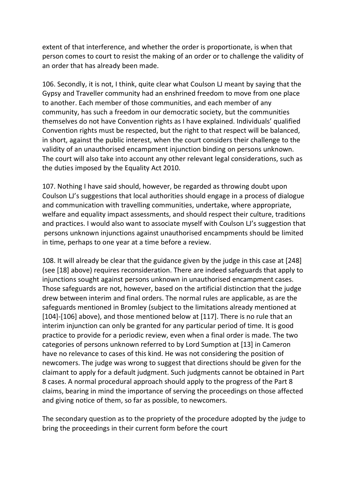extent of that interference, and whether the order is proportionate, is when that person comes to court to resist the making of an order or to challenge the validity of an order that has already been made.

106. Secondly, it is not, I think, quite clear what Coulson LJ meant by saying that the Gypsy and Traveller community had an enshrined freedom to move from one place to another. Each member of those communities, and each member of any community, has such a freedom in our democratic society, but the communities themselves do not have Convention rights as I have explained. Individuals' qualified Convention rights must be respected, but the right to that respect will be balanced, in short, against the public interest, when the court considers their challenge to the validity of an unauthorised encampment injunction binding on persons unknown. The court will also take into account any other relevant legal considerations, such as the duties imposed by the Equality Act 2010.

107. Nothing I have said should, however, be regarded as throwing doubt upon Coulson LJ's suggestions that local authorities should engage in a process of dialogue and communication with travelling communities, undertake, where appropriate, welfare and equality impact assessments, and should respect their culture, traditions and practices. I would also want to associate myself with Coulson LJ's suggestion that persons unknown injunctions against unauthorised encampments should be limited in time, perhaps to one year at a time before a review.

108. It will already be clear that the guidance given by the judge in this case at [248] (see [18] above) requires reconsideration. There are indeed safeguards that apply to injunctions sought against persons unknown in unauthorised encampment cases. Those safeguards are not, however, based on the artificial distinction that the judge drew between interim and final orders. The normal rules are applicable, as are the safeguards mentioned in Bromley (subject to the limitations already mentioned at [104]-[106] above), and those mentioned below at [117]. There is no rule that an interim injunction can only be granted for any particular period of time. It is good practice to provide for a periodic review, even when a final order is made. The two categories of persons unknown referred to by Lord Sumption at [13] in Cameron have no relevance to cases of this kind. He was not considering the position of newcomers. The judge was wrong to suggest that directions should be given for the claimant to apply for a default judgment. Such judgments cannot be obtained in Part 8 cases. A normal procedural approach should apply to the progress of the Part 8 claims, bearing in mind the importance of serving the proceedings on those affected and giving notice of them, so far as possible, to newcomers.

The secondary question as to the propriety of the procedure adopted by the judge to bring the proceedings in their current form before the court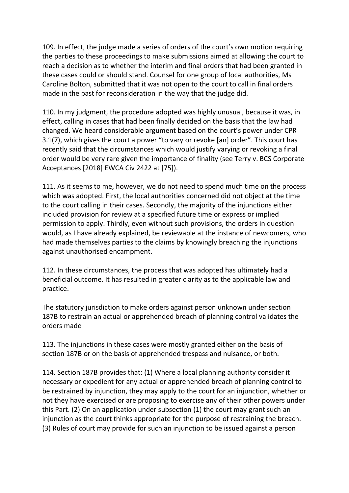109. In effect, the judge made a series of orders of the court's own motion requiring the parties to these proceedings to make submissions aimed at allowing the court to reach a decision as to whether the interim and final orders that had been granted in these cases could or should stand. Counsel for one group of local authorities, Ms Caroline Bolton, submitted that it was not open to the court to call in final orders made in the past for reconsideration in the way that the judge did.

110. In my judgment, the procedure adopted was highly unusual, because it was, in effect, calling in cases that had been finally decided on the basis that the law had changed. We heard considerable argument based on the court's power under CPR 3.1(7), which gives the court a power "to vary or revoke [an] order". This court has recently said that the circumstances which would justify varying or revoking a final order would be very rare given the importance of finality (see Terry v. BCS Corporate Acceptances [2018] EWCA Civ 2422 at [75]).

111. As it seems to me, however, we do not need to spend much time on the process which was adopted. First, the local authorities concerned did not object at the time to the court calling in their cases. Secondly, the majority of the injunctions either included provision for review at a specified future time or express or implied permission to apply. Thirdly, even without such provisions, the orders in question would, as I have already explained, be reviewable at the instance of newcomers, who had made themselves parties to the claims by knowingly breaching the injunctions against unauthorised encampment.

112. In these circumstances, the process that was adopted has ultimately had a beneficial outcome. It has resulted in greater clarity as to the applicable law and practice.

The statutory jurisdiction to make orders against person unknown under section 187B to restrain an actual or apprehended breach of planning control validates the orders made

113. The injunctions in these cases were mostly granted either on the basis of section 187B or on the basis of apprehended trespass and nuisance, or both.

114. Section 187B provides that: (1) Where a local planning authority consider it necessary or expedient for any actual or apprehended breach of planning control to be restrained by injunction, they may apply to the court for an injunction, whether or not they have exercised or are proposing to exercise any of their other powers under this Part. (2) On an application under subsection (1) the court may grant such an injunction as the court thinks appropriate for the purpose of restraining the breach. (3) Rules of court may provide for such an injunction to be issued against a person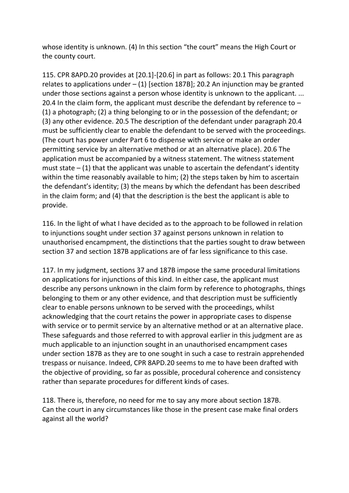whose identity is unknown. (4) In this section "the court" means the High Court or the county court.

115. CPR 8APD.20 provides at [20.1]-[20.6] in part as follows: 20.1 This paragraph relates to applications under  $-$  (1) [section 187B]; 20.2 An injunction may be granted under those sections against a person whose identity is unknown to the applicant. ... 20.4 In the claim form, the applicant must describe the defendant by reference to – (1) a photograph; (2) a thing belonging to or in the possession of the defendant; or (3) any other evidence. 20.5 The description of the defendant under paragraph 20.4 must be sufficiently clear to enable the defendant to be served with the proceedings. (The court has power under Part 6 to dispense with service or make an order permitting service by an alternative method or at an alternative place). 20.6 The application must be accompanied by a witness statement. The witness statement must state  $-$  (1) that the applicant was unable to ascertain the defendant's identity within the time reasonably available to him; (2) the steps taken by him to ascertain the defendant's identity; (3) the means by which the defendant has been described in the claim form; and (4) that the description is the best the applicant is able to provide.

116. In the light of what I have decided as to the approach to be followed in relation to injunctions sought under section 37 against persons unknown in relation to unauthorised encampment, the distinctions that the parties sought to draw between section 37 and section 187B applications are of far less significance to this case.

117. In my judgment, sections 37 and 187B impose the same procedural limitations on applications for injunctions of this kind. In either case, the applicant must describe any persons unknown in the claim form by reference to photographs, things belonging to them or any other evidence, and that description must be sufficiently clear to enable persons unknown to be served with the proceedings, whilst acknowledging that the court retains the power in appropriate cases to dispense with service or to permit service by an alternative method or at an alternative place. These safeguards and those referred to with approval earlier in this judgment are as much applicable to an injunction sought in an unauthorised encampment cases under section 187B as they are to one sought in such a case to restrain apprehended trespass or nuisance. Indeed, CPR 8APD.20 seems to me to have been drafted with the objective of providing, so far as possible, procedural coherence and consistency rather than separate procedures for different kinds of cases.

118. There is, therefore, no need for me to say any more about section 187B. Can the court in any circumstances like those in the present case make final orders against all the world?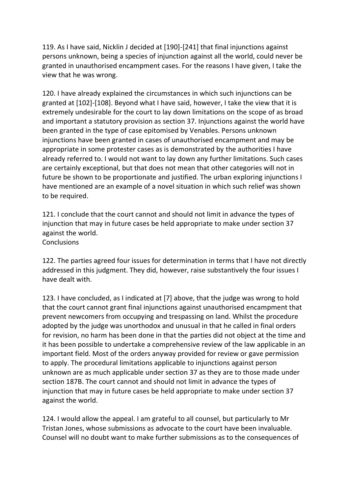119. As I have said, Nicklin J decided at [190]-[241] that final injunctions against persons unknown, being a species of injunction against all the world, could never be granted in unauthorised encampment cases. For the reasons I have given, I take the view that he was wrong.

120. I have already explained the circumstances in which such injunctions can be granted at [102]-[108]. Beyond what I have said, however, I take the view that it is extremely undesirable for the court to lay down limitations on the scope of as broad and important a statutory provision as section 37. Injunctions against the world have been granted in the type of case epitomised by Venables. Persons unknown injunctions have been granted in cases of unauthorised encampment and may be appropriate in some protester cases as is demonstrated by the authorities I have already referred to. I would not want to lay down any further limitations. Such cases are certainly exceptional, but that does not mean that other categories will not in future be shown to be proportionate and justified. The urban exploring injunctions I have mentioned are an example of a novel situation in which such relief was shown to be required.

121. I conclude that the court cannot and should not limit in advance the types of injunction that may in future cases be held appropriate to make under section 37 against the world. **Conclusions** 

122. The parties agreed four issues for determination in terms that I have not directly addressed in this judgment. They did, however, raise substantively the four issues I have dealt with.

123. I have concluded, as I indicated at [7] above, that the judge was wrong to hold that the court cannot grant final injunctions against unauthorised encampment that prevent newcomers from occupying and trespassing on land. Whilst the procedure adopted by the judge was unorthodox and unusual in that he called in final orders for revision, no harm has been done in that the parties did not object at the time and it has been possible to undertake a comprehensive review of the law applicable in an important field. Most of the orders anyway provided for review or gave permission to apply. The procedural limitations applicable to injunctions against person unknown are as much applicable under section 37 as they are to those made under section 187B. The court cannot and should not limit in advance the types of injunction that may in future cases be held appropriate to make under section 37 against the world.

124. I would allow the appeal. I am grateful to all counsel, but particularly to Mr Tristan Jones, whose submissions as advocate to the court have been invaluable. Counsel will no doubt want to make further submissions as to the consequences of